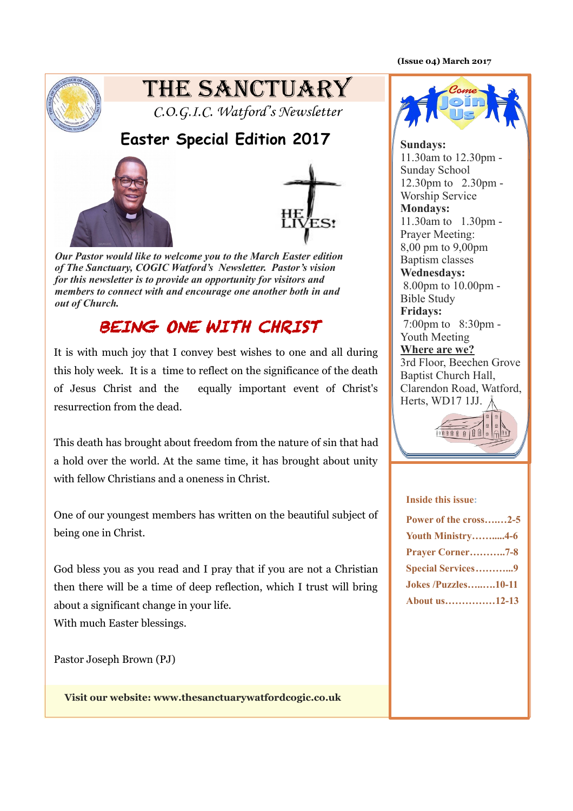**(Issue 04) March 2017** 



# THE SANCTUARY

C.O.G.I.C. Watford's Newsletter

## **Easter Special Edition 2017**





*Our Pastor would like to welcome you to the March Easter edition of The Sanctuary, COGIC Watford's Newsletter. Pastor's vision for this newsletter is to provide an opportunity for visitors and members to connect with and encourage one another both in and out of Church.*

# BEING ONE WITH CHRIST

It is with much joy that I convey best wishes to one and all during this holy week. It is a time to reflect on the significance of the death of Jesus Christ and the equally important event of Christ's resurrection from the dead.

This death has brought about freedom from the nature of sin that had a hold over the world. At the same time, it has brought about unity with fellow Christians and a oneness in Christ.

One of our youngest members has written on the beautiful subject of being one in Christ.

God bless you as you read and I pray that if you are not a Christian then there will be a time of deep reflection, which I trust will bring about a significant change in your life.

With much Easter blessings.

Pastor Joseph Brown (PJ)

**Visit our website: www.thesanctuarywatfordcogic.co.uk** 



**Sundays:** 11.30am to 12.30pm - Sunday School 12.30pm to 2.30pm - Worship Service **Mondays:** 11.30am to 1.30pm - Prayer Meeting: 8,00 pm to 9,00pm Baptism classes **Wednesdays:** 8.00pm to 10.00pm - Bible Study **Fridays:** 7:00pm to 8:30pm - Youth Meeting **Where are we?** 3rd Floor, Beechen Grove Baptist Church Hall, Clarendon Road, Watford, Herts, WD17 1JJ.  $\lambda$ 



#### **Inside this issue:**

| Power of the cross2-5      |
|----------------------------|
| <b>Youth Ministry4-6</b>   |
| <b>Prayer Corner7-8</b>    |
| <b>Special Services9</b>   |
| <b>Jokes /Puzzles10-11</b> |
| About us12-13              |
|                            |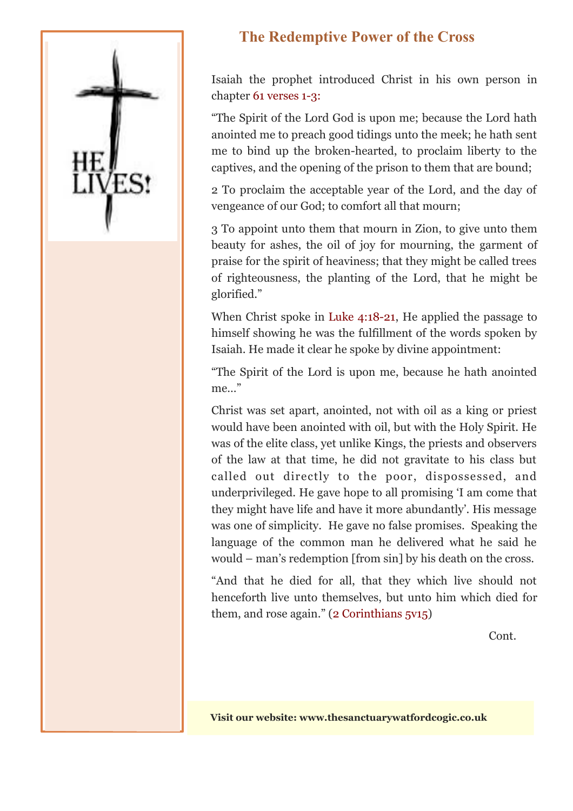

## **The Redemptive Power of the Cross**

Isaiah the prophet introduced Christ in his own person in chapter 61 verses 1-3:

"The Spirit of the Lord God is upon me; because the Lord hath anointed me to preach good tidings unto the meek; he hath sent me to bind up the broken-hearted, to proclaim liberty to the captives, and the opening of the prison to them that are bound;

2 To proclaim the acceptable year of the Lord, and the day of vengeance of our God; to comfort all that mourn;

3 To appoint unto them that mourn in Zion, to give unto them beauty for ashes, the oil of joy for mourning, the garment of praise for the spirit of heaviness; that they might be called trees of righteousness, the planting of the Lord, that he might be glorified."

When Christ spoke in Luke 4:18-21, He applied the passage to himself showing he was the fulfillment of the words spoken by Isaiah. He made it clear he spoke by divine appointment:

"The Spirit of the Lord is upon me, because he hath anointed me…"

Christ was set apart, anointed, not with oil as a king or priest would have been anointed with oil, but with the Holy Spirit. He was of the elite class, yet unlike Kings, the priests and observers of the law at that time, he did not gravitate to his class but called out directly to the poor, dispossessed, and underprivileged. He gave hope to all promising 'I am come that they might have life and have it more abundantly'. His message was one of simplicity. He gave no false promises. Speaking the language of the common man he delivered what he said he would – man's redemption [from sin] by his death on the cross.

"And that he died for all, that they which live should not henceforth live unto themselves, but unto him which died for them, and rose again." (2 Corinthians 5v15)

Cont.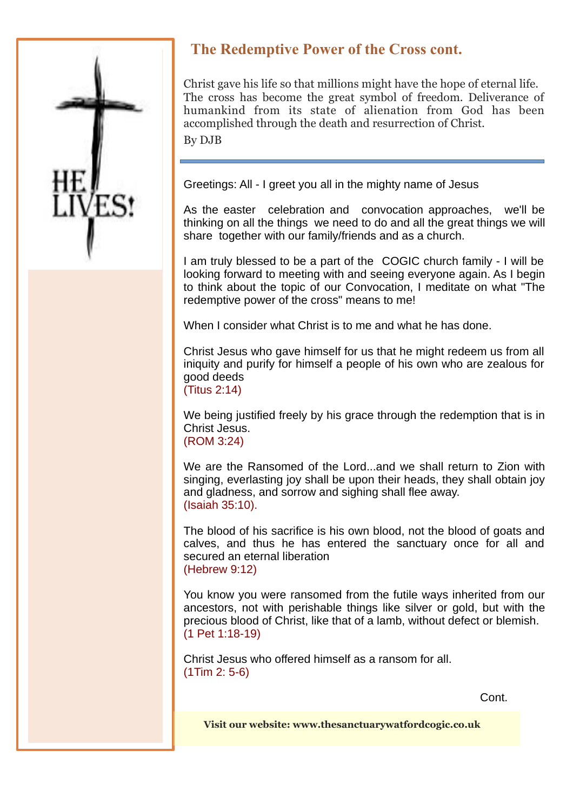

## **The Redemptive Power of the Cross cont.**

Christ gave his life so that millions might have the hope of eternal life. The cross has become the great symbol of freedom. Deliverance of humankind from its state of alienation from God has been accomplished through the death and resurrection of Christ. By DJB

Greetings: All - I greet you all in the mighty name of Jesus

As the easter celebration and convocation approaches, we'll be thinking on all the things we need to do and all the great things we will share together with our family/friends and as a church.

I am truly blessed to be a part of the COGIC church family - I will be looking forward to meeting with and seeing everyone again. As I begin to think about the topic of our Convocation, I meditate on what "The redemptive power of the cross" means to me!

When I consider what Christ is to me and what he has done.

Christ Jesus who gave himself for us that he might redeem us from all iniquity and purify for himself a people of his own who are zealous for good deeds (Titus 2:14)

We being justified freely by his grace through the redemption that is in Christ Jesus. (ROM 3:24)

We are the Ransomed of the Lord...and we shall return to Zion with singing, everlasting joy shall be upon their heads, they shall obtain joy and gladness, and sorrow and sighing shall flee away. (Isaiah 35:10).

The blood of his sacrifice is his own blood, not the blood of goats and calves, and thus he has entered the sanctuary once for all and secured an eternal liberation (Hebrew 9:12)

You know you were ransomed from the futile ways inherited from our ancestors, not with perishable things like silver or gold, but with the precious blood of Christ, like that of a lamb, without defect or blemish. (1 Pet 1:18-19)

Christ Jesus who offered himself as a ransom for all. (1Tim 2: 5-6)

Cont.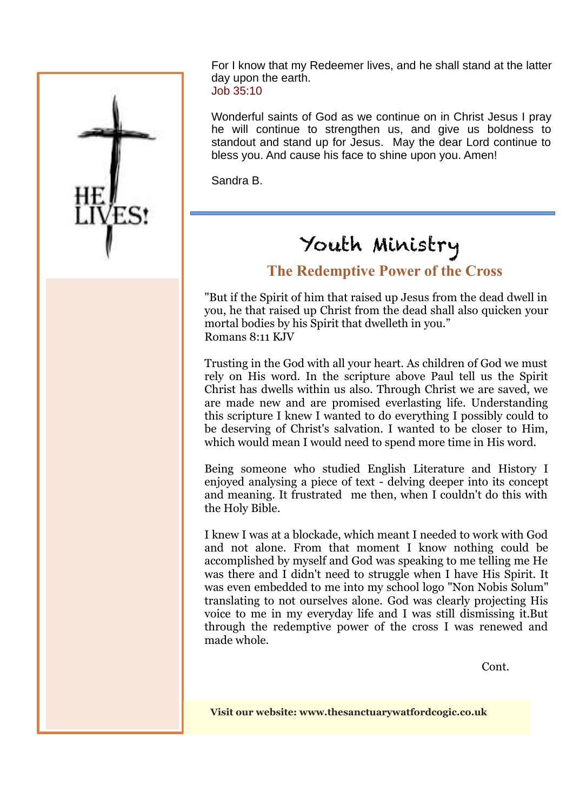

For I know that my Redeemer lives, and he shall stand at the latter day upon the earth. Job 35:10

Wonderful saints of God as we continue on in Christ Jesus I pray he will continue to strengthen us, and give us boldness to standout and stand up for Jesus. May the dear Lord continue to bless you. And cause his face to shine upon you. Amen!

Sandra B.

# Youth Ministry

### **The Redemptive Power of the Cross**

"But if the Spirit of him that raised up Jesus from the dead dwell in you, he that raised up Christ from the dead shall also quicken your mortal bodies by his Spirit that dwelleth in you." Romans 8:11 KJV

Trusting in the God with all your heart. As children of God we must rely on His word. In the scripture above Paul tell us the Spirit Christ has dwells within us also. Through Christ we are saved, we are made new and are promised everlasting life. Understanding this scripture I knew I wanted to do everything I possibly could to be deserving of Christ's salvation. I wanted to be closer to Him, which would mean I would need to spend more time in His word.

Being someone who studied English Literature and History I enjoyed analysing a piece of text - delving deeper into its concept and meaning. It frustrated me then, when I couldn't do this with the Holy Bible.

I knew I was at a blockade, which meant I needed to work with God and not alone. From that moment I know nothing could be accomplished by myself and God was speaking to me telling me He was there and I didn't need to struggle when I have His Spirit. It was even embedded to me into my school logo "Non Nobis Solum" translating to not ourselves alone. God was clearly projecting His voice to me in my everyday life and I was still dismissing it.But through the redemptive power of the cross I was renewed and made whole.

Cont.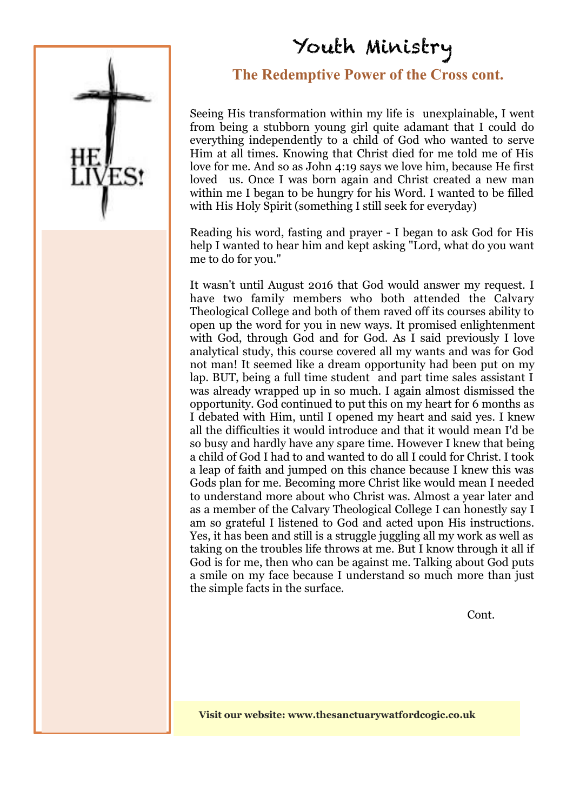# Youth Ministry



### **The Redemptive Power of the Cross cont.**

Seeing His transformation within my life is unexplainable, I went from being a stubborn young girl quite adamant that I could do everything independently to a child of God who wanted to serve Him at all times. Knowing that Christ died for me told me of His love for me. And so as John 4:19 says we love him, because He first loved us. Once I was born again and Christ created a new man within me I began to be hungry for his Word. I wanted to be filled with His Holy Spirit (something I still seek for everyday)

Reading his word, fasting and prayer - I began to ask God for His help I wanted to hear him and kept asking "Lord, what do you want me to do for you."

It wasn't until August 2016 that God would answer my request. I have two family members who both attended the Calvary Theological College and both of them raved off its courses ability to open up the word for you in new ways. It promised enlightenment with God, through God and for God. As I said previously I love analytical study, this course covered all my wants and was for God not man! It seemed like a dream opportunity had been put on my lap. BUT, being a full time student and part time sales assistant I was already wrapped up in so much. I again almost dismissed the opportunity. God continued to put this on my heart for 6 months as I debated with Him, until I opened my heart and said yes. I knew all the difficulties it would introduce and that it would mean I'd be so busy and hardly have any spare time. However I knew that being a child of God I had to and wanted to do all I could for Christ. I took a leap of faith and jumped on this chance because I knew this was Gods plan for me. Becoming more Christ like would mean I needed to understand more about who Christ was. Almost a year later and as a member of the Calvary Theological College I can honestly say I am so grateful I listened to God and acted upon His instructions. Yes, it has been and still is a struggle juggling all my work as well as taking on the troubles life throws at me. But I know through it all if God is for me, then who can be against me. Talking about God puts a smile on my face because I understand so much more than just the simple facts in the surface.

Cont.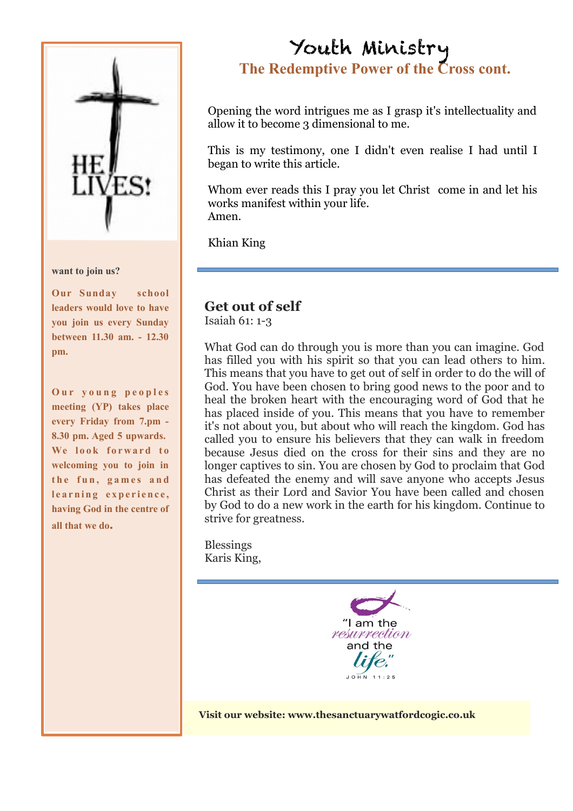

#### **want to join us?**

**Our Sunday school leaders would love to have you join us every Sunday between 11.30 am. - 12.30 pm.** 

**Our young peoples meeting (YP) takes place every Friday from 7.pm - 8.30 pm. Aged 5 upwards.** We look forward to **welcoming you to join in** the fun, games and learning experience. **having God in the centre of all that we do**.

# Youth Ministry **The Redemptive Power of the Cross cont.**

Opening the word intrigues me as I grasp it's intellectuality and allow it to become 3 dimensional to me.

This is my testimony, one I didn't even realise I had until I began to write this article.

Whom ever reads this I pray you let Christ come in and let his works manifest within your life. Amen.

Khian King

#### **Get out of self**

Isaiah 61: 1-3

What God can do through you is more than you can imagine. God has filled you with his spirit so that you can lead others to him. This means that you have to get out of self in order to do the will of God. You have been chosen to bring good news to the poor and to heal the broken heart with the encouraging word of God that he has placed inside of you. This means that you have to remember it's not about you, but about who will reach the kingdom. God has called you to ensure his believers that they can walk in freedom because Jesus died on the cross for their sins and they are no longer captives to sin. You are chosen by God to proclaim that God has defeated the enemy and will save anyone who accepts Jesus Christ as their Lord and Savior You have been called and chosen by God to do a new work in the earth for his kingdom. Continue to strive for greatness.

Blessings Karis King,

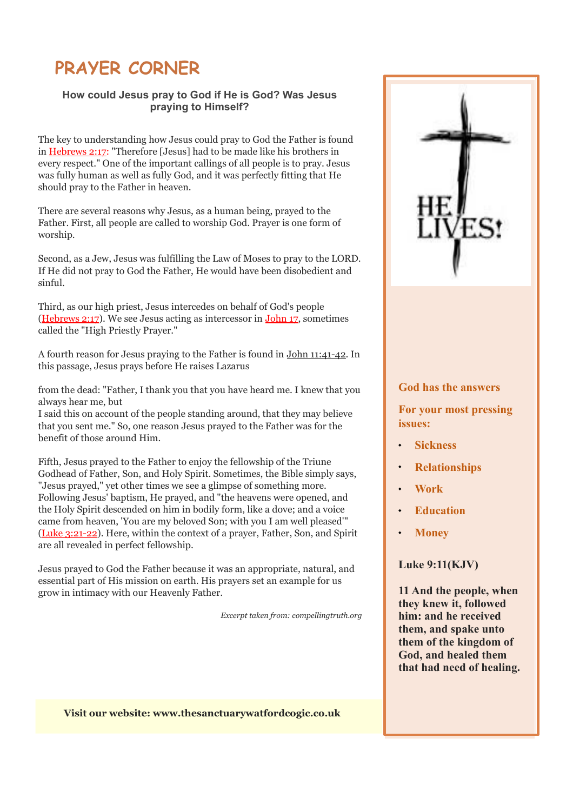# **PRAYER CORNER**

#### **How could Jesus pray to God if He is God? Was Jesus praying to Himself?**

The key to understanding how Jesus could pray to God the Father is found in Hebrews 2:17: "Therefore [Jesus] had to be made like his brothers in every respect." One of the important callings of all people is to pray. Jesus was fully human as well as fully God, and it was perfectly fitting that He should pray to the Father in heaven.

There are several reasons why Jesus, as a human being, prayed to the Father. First, all people are called to worship God. Prayer is one form of worship.

Second, as a Jew, Jesus was fulfilling the Law of Moses to pray to the LORD. If He did not pray to God the Father, He would have been disobedient and sinful.

Third, as our high priest, Jesus intercedes on behalf of God's people (Hebrews 2:17). We see Jesus acting as intercessor in John 17, sometimes called the "High Priestly Prayer."

A fourth reason for Jesus praying to the Father is found in John 11:41-42. In this passage, Jesus prays before He raises Lazarus

from the dead: "Father, I thank you that you have heard me. I knew that you always hear me, but

I said this on account of the people standing around, that they may believe that you sent me." So, one reason Jesus prayed to the Father was for the benefit of those around Him.

Fifth, Jesus prayed to the Father to enjoy the fellowship of the Triune Godhead of Father, Son, and Holy Spirit. Sometimes, the Bible simply says, "Jesus prayed," yet other times we see a glimpse of something more. Following Jesus' baptism, He prayed, and "the heavens were opened, and the Holy Spirit descended on him in bodily form, like a dove; and a voice came from heaven, 'You are my beloved Son; with you I am well pleased'" (Luke 3:21-22). Here, within the context of a prayer, Father, Son, and Spirit are all revealed in perfect fellowship.

Jesus prayed to God the Father because it was an appropriate, natural, and essential part of His mission on earth. His prayers set an example for us grow in intimacy with our Heavenly Father.

*Excerpt taken from: compellingtruth.org* 



#### **God has the answers**

**For your most pressing issues:** 

- **Sickness**
- **Relationships**
- **Work**
- **Education**
- **Money**

#### **Luke 9:11(KJV)**

**11 And the people, when they knew it, followed him: and he received them, and spake unto them of the kingdom of God, and healed them that had need of healing.**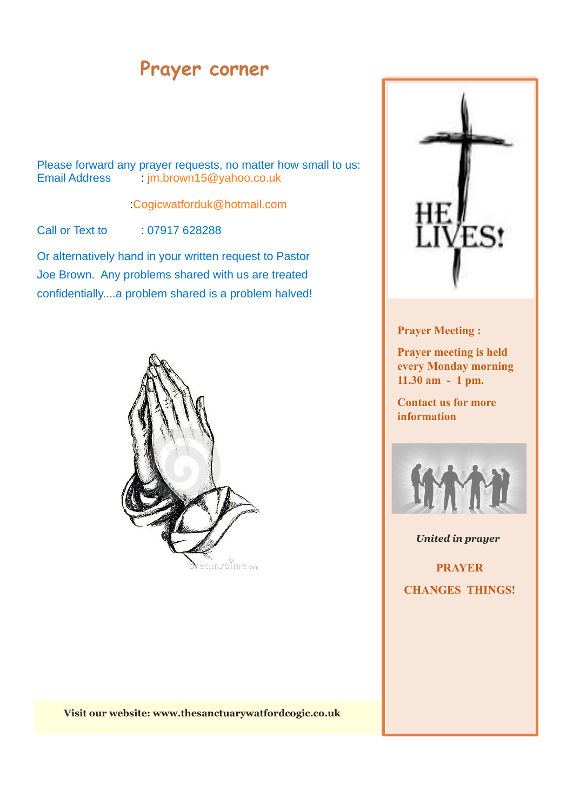# **Prayer corner**

Please forward any prayer requests, no matter how small to us:<br>Email Address  $\frac{1}{2}$  im.brown15@vahoo.co.uk im.brown15@yahoo.co.uk

:Cogicwatforduk@hotmail.com

Call or Text to : 07917 628288

Or alternatively hand in your written request to Pastor Joe Brown. Any problems shared with us are treated confidentially....a problem shared is a problem halved!



**Visit our website: www.thesanctuarywatfordcogic.co.uk** 



#### **Prayer Meeting :**

**Prayer meeting is held every Monday morning 11.30 am - 1 pm.** 

**Contact us for more information**



*United in prayer* 

**PRAYER CHANGES THINGS!**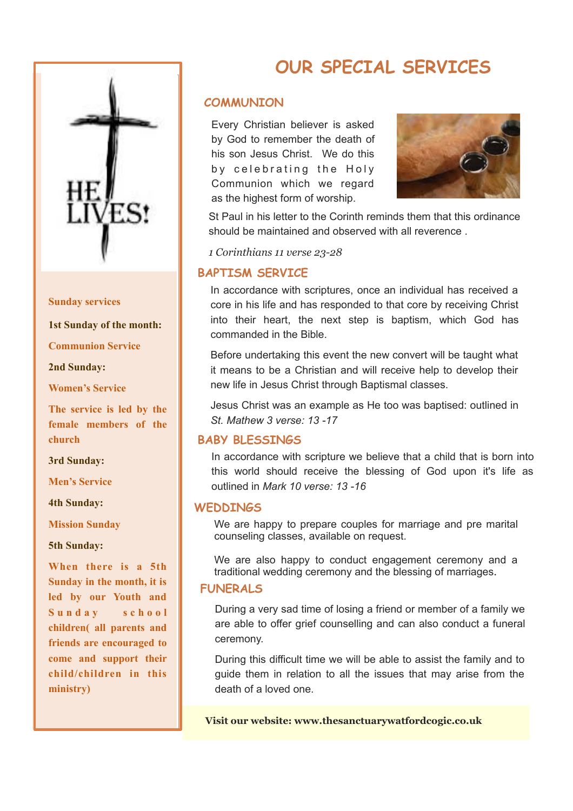

#### **Sunday services**

**1st Sunday of the month:** 

**Communion Service** 

**2nd Sunday:** 

**Women's Service** 

**The service is led by the female members of the church** 

**3rd Sunday:** 

**Men's Service** 

**4th Sunday:** 

**Mission Sunday** 

**5th Sunday:** 

**When there is a 5th Sunday in the month, it is led by our Youth and** Sunday school **children( all parents and friends are encouraged to come and support their child/children in this ministry)**

# **OUR SPECIAL SERVICES**

#### **COMMUNION**

Every Christian believer is asked by God to remember the death of his son Jesus Christ. We do this by celebrating the Holy Communion which we regard as the highest form of worship.



St Paul in his letter to the Corinth reminds them that this ordinance should be maintained and observed with all reverence .

*1 Corinthians 11 verse 23-28*

#### **BAPTISM SERVICE**

In accordance with scriptures, once an individual has received a core in his life and has responded to that core by receiving Christ into their heart, the next step is baptism, which God has commanded in the Bible.

Before undertaking this event the new convert will be taught what it means to be a Christian and will receive help to develop their new life in Jesus Christ through Baptismal classes.

Jesus Christ was an example as He too was baptised: outlined in *St. Mathew 3 verse: 13 -17*

#### **BABY BLESSINGS**

In accordance with scripture we believe that a child that is born into this world should receive the blessing of God upon it's life as outlined in *Mark 10 verse: 13 -16*

#### **WEDDINGS**

We are happy to prepare couples for marriage and pre marital counseling classes, available on request.

We are also happy to conduct engagement ceremony and a traditional wedding ceremony and the blessing of marriages.

#### **FUNERALS**

During a very sad time of losing a friend or member of a family we are able to offer grief counselling and can also conduct a funeral ceremony.

During this difficult time we will be able to assist the family and to guide them in relation to all the issues that may arise from the death of a loved one.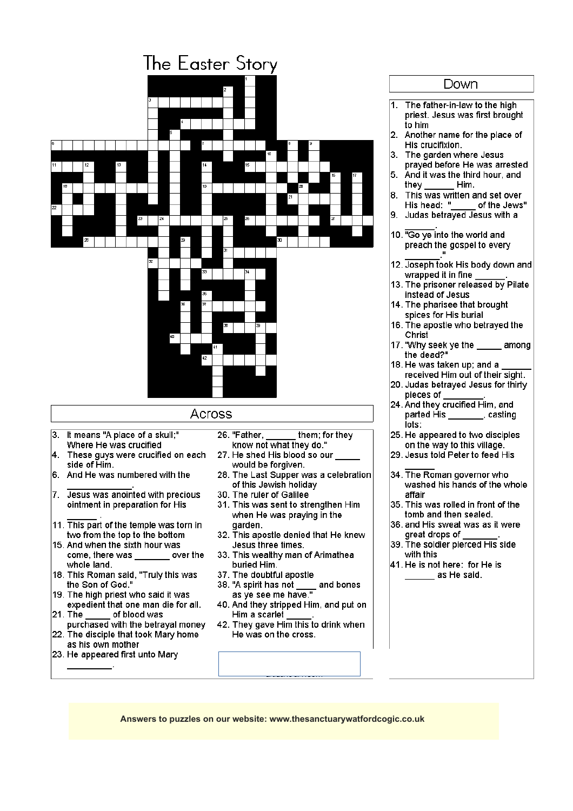|                                                                            | The Easter Story                                                  |  |
|----------------------------------------------------------------------------|-------------------------------------------------------------------|--|
|                                                                            | 2                                                                 |  |
|                                                                            |                                                                   |  |
|                                                                            |                                                                   |  |
|                                                                            |                                                                   |  |
|                                                                            | 10                                                                |  |
| 14<br>11<br>12<br>13                                                       | 15                                                                |  |
| 19<br>18                                                                   | 16<br>17<br>л                                                     |  |
|                                                                            | 21                                                                |  |
| 22<br>23<br>24                                                             | 25<br>26<br>27                                                    |  |
|                                                                            |                                                                   |  |
| 28<br>29                                                                   | Œ<br>31                                                           |  |
| 32                                                                         |                                                                   |  |
| 33                                                                         |                                                                   |  |
| 35                                                                         |                                                                   |  |
| 37<br>X                                                                    |                                                                   |  |
|                                                                            | 33<br>39                                                          |  |
| 40                                                                         | #1                                                                |  |
| 42                                                                         |                                                                   |  |
|                                                                            |                                                                   |  |
|                                                                            |                                                                   |  |
| Across                                                                     |                                                                   |  |
| It means "A place of a skull;"<br>3.                                       | 26. "Father,<br>them; for they                                    |  |
| Where He was crucified                                                     | know not what they do."                                           |  |
| These guys were crucified on each<br>4.<br>side of Him.                    | 27. He shed His blood so our<br>would be forgiven.                |  |
| And He was numbered with the<br>16.                                        | 28. The Last Supper was a celebration                             |  |
| 7. Jesus was anointed with precious                                        | of this Jewish holiday<br>30. The ruler of Galilee                |  |
| ointment in preparation for His                                            | 31. This was sent to strengthen Him<br>when He was praying in the |  |
| 11. This part of the temple was torn in                                    | garden.                                                           |  |
| two from the top to the bottom<br>15. And when the sixth hour was          | 32. This apostle denied that He knew<br>Jesus three times.        |  |
| come, there was ________ over the                                          | 33. This wealthy man of Arimathea                                 |  |
| whole land.<br>18. This Roman said, "Truly this was                        | buried Him.<br>37. The doubtful apostle                           |  |
| the Son of God."                                                           | 38. "A spirit has not ____ and bones as ye see me have."          |  |
| 19. The high priest who said it was<br>expedient that one man die for all. | 40. And they stripped Him, and put on                             |  |
| 21. The<br>of blood was<br>purchased with the betrayal money               | Him a scarlet j<br>42. They gave Him this to drink when           |  |
| 22. The disciple that took Mary home                                       | He was on the cross.                                              |  |
| as his own mother<br>23. He appeared first unto Mary                       |                                                                   |  |
|                                                                            |                                                                   |  |
|                                                                            |                                                                   |  |

#### Down 1. The father-in-law to the high priest. Jesus was first brought  $\vert$  to him<br>2. Another name for the place of His crucifixion.  $|3.$  The garden where Jesus prayed before He was arrested<br>5. And it was the third hour, and Him. they \_\_\_\_ 8. This was written and set over<br>His head: "\_\_\_\_\_ of the Jews \_ of the Jews"  $\left|9. \right|$  Judas betrayed Jesus with a 10. "Go ye into the world and preach the gospel to every 12. Joseph took His body down and wrapped it in fine 13. The prisoner released by Pilate instead of Jesus 14. The pharisee that brought spices for His burial 16. The apostle who betrayed the Christ 17. "Why seek ye the among the dead?" 18. He was taken up; and a received Him out of their sight. 20. Judas betrayed Jesus for thirty pieces of 24. And they crucified Him, and parted His \_\_\_\_\_\_\_, casting lots: 25. He appeared to two disciples on the way to this village. 29. Jesus told Peter to feed His 34. The Roman governor who washed his hands of the whole affair 35. This was rolled in front of the tomb and then sealed. 36, and His sweat was as it were great drops of 39. The soldier pierced His side with this 41. He is not here: for He is as He said.

**Answers to puzzles on our website: www.thesanctuarywatfordcogic.co.uk** #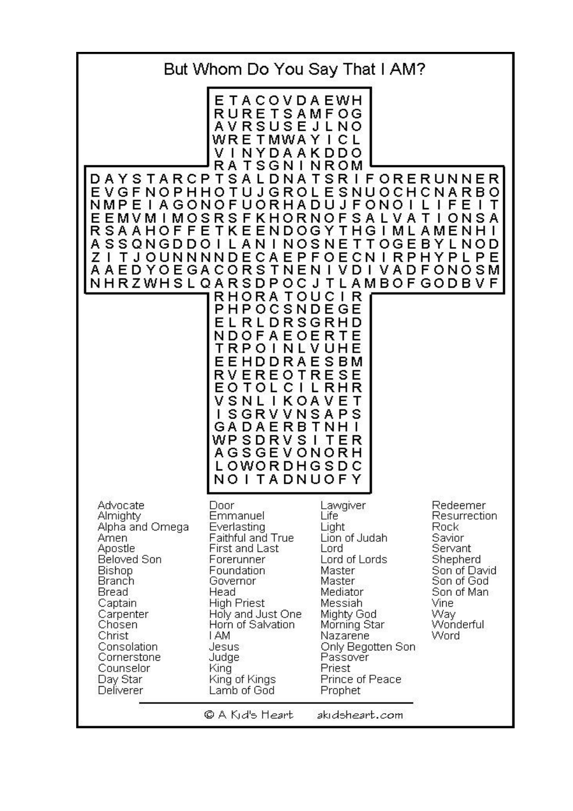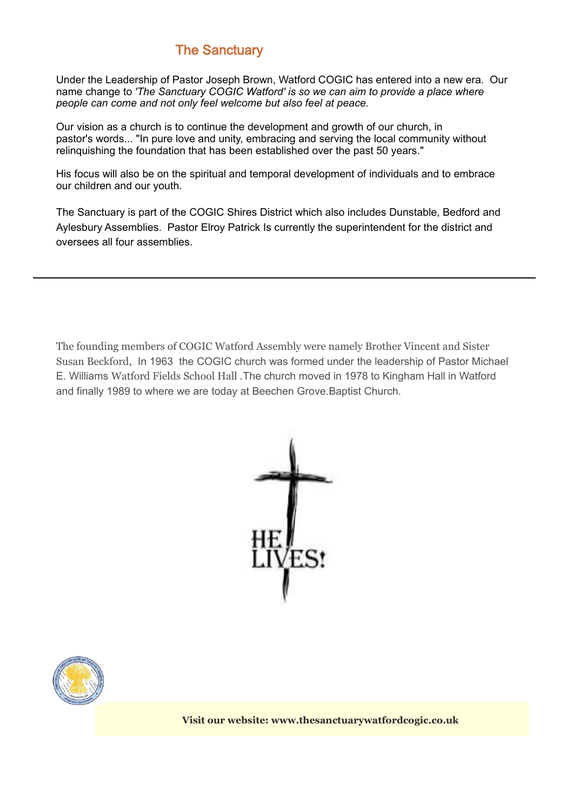### **The Sanctuary**

Under the Leadership of Pastor Joseph Brown, Watford COGIC has entered into a new era. Our name change to *'The Sanctuary COGIC Watford' is so we can aim to provide a place where people can come and not only feel welcome but also feel at peace.* 

Our vision as a church is to continue the development and growth of our church, in pastor's words... "In pure love and unity, embracing and serving the local community without relinquishing the foundation that has been established over the past 50 years."

His focus will also be on the spiritual and temporal development of individuals and to embrace our children and our youth.

The Sanctuary is part of the COGIC Shires District which also includes Dunstable, Bedford and Aylesbury Assemblies. Pastor Elroy Patrick Is currently the superintendent for the district and oversees all four assemblies.

The founding members of COGIC Watford Assembly were namely Brother Vincent and Sister Susan Beckford, In 1963 the COGIC church was formed under the leadership of Pastor Michael E. Williams Watford Fields School Hall .The church moved in 1978 to Kingham Hall in Watford and finally 1989 to where we are today at Beechen Grove.Baptist Church.